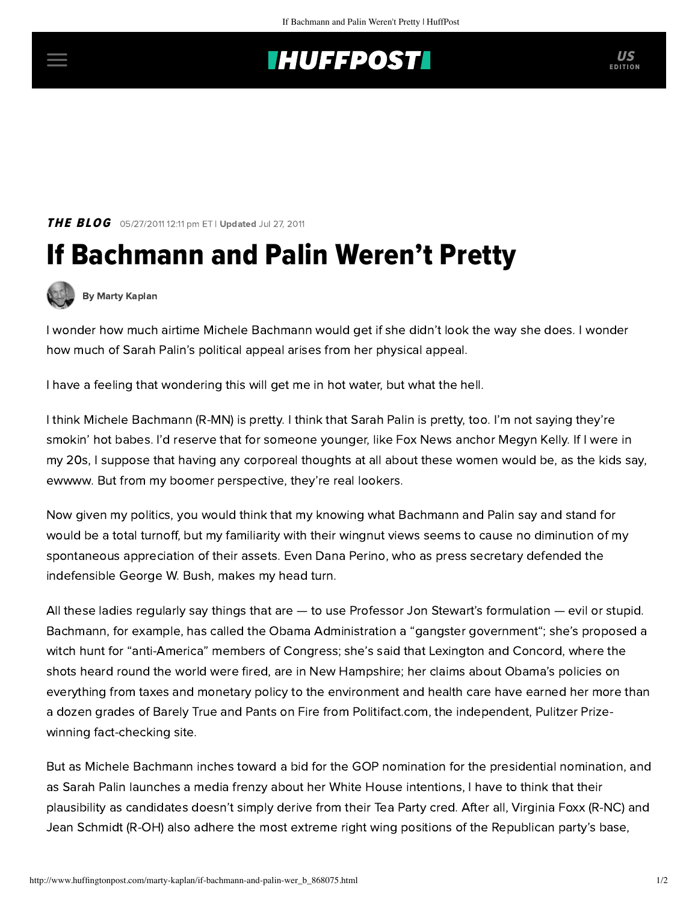## **INUFFPOSTI** US

THE BLOG 05/27/2011 12:11 pm ET | Updated Jul 27, 2011

## If Bachmann and Palin Weren't Pretty



[By Marty Kaplan](http://www.huffingtonpost.com/author/marty-kaplan)

I wonder how much airtime Michele Bachmann would get if she didn't look the way she does. I wonder how much of Sarah Palin's political appeal arises from her physical appeal.

I have a feeling that wondering this will get me in hot water, but what the hell.

I think Michele Bachmann (R-MN) is pretty. I think that Sarah Palin is pretty, too. I'm not saying they're smokin' hot babes. I'd reserve that for someone younger, like Fox News anchor Megyn Kelly. If I were in my 20s, I suppose that having any corporeal thoughts at all about these women would be, as the kids say, ewwww. But from my boomer perspective, they're real lookers.

Now given my politics, you would think that my knowing what Bachmann and Palin say and stand for would be a total turnoff, but my familiarity with their wingnut views seems to cause no diminution of my spontaneous appreciation of their assets. Even Dana Perino, who as press secretary defended the indefensible George W. Bush, makes my head turn.

All these ladies regularly say things that are — to use Professor Jon Stewart's formulation — [evil or stupid.](http://www.thedailyshow.com/watch/mon-august-23-2010/the-parent-company-trap) Bachmann, for example, has called the Obama Administration a ["gangster government](http://www.salon.com/news/opinion/joan_walsh/politics/2011/03/06/bachmann_on_gangster_government)"; she's proposed a witch hunt for "anti-America" members of Congress; she's [said](http://www.politico.com/news/stories/0311/51179.html) that Lexington and Concord, where the shots heard round the world were fired, are in New Hampshire; her claims about Obama's policies on everything from taxes and monetary policy to the environment and health care have earned her more than a dozen grades of Barely True and Pants on Fire from [Politifact.com,](http://www.politifact.com/personalities/michele-bachmann/) the independent, Pulitzer Prizewinning fact-checking site.

But as Michele Bachmann inches toward a bid for the GOP nomination for the presidential nomination, and as Sarah Palin launches a media frenzy about her White House intentions, I have to think that their plausibility as candidates doesn't simply derive from their Tea Party cred. After all, [Virginia Foxx](http://www.youtube.com/watch?v=AWm2zGTZBM0) (R-NC) and [Jean Schmidt](http://politicalcorrection.org/blog/201010270005) (R-OH) also adhere the most extreme right wing positions of the Republican party's base,